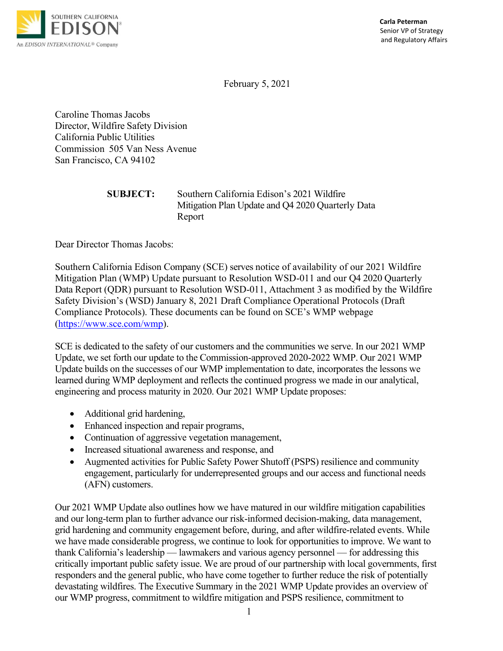

 Senior VP of Strategy and Regulatory Affairs

February 5, 2021

Caroline Thomas Jacobs Director, Wildfire Safety Division California Public Utilities Commission 505 Van Ness Avenue San Francisco, CA 94102

| <b>SUBJECT:</b> | Southern California Edison's 2021 Wildfire        |
|-----------------|---------------------------------------------------|
|                 | Mitigation Plan Update and Q4 2020 Quarterly Data |
|                 | Report                                            |

Dear Director Thomas Jacobs:

Southern California Edison Company (SCE) serves notice of availability of our 2021 Wildfire Mitigation Plan (WMP) Update pursuant to Resolution WSD-011 and our Q4 2020 Quarterly Data Report (QDR) pursuant to Resolution WSD-011, Attachment 3 as modified by the Wildfire Safety Division's (WSD) January 8, 2021 Draft Compliance Operational Protocols (Draft Compliance Protocols). These documents can be found on SCE's WMP webpage [\(https://www.sce.com/wmp\)](https://www.sce.com/wmp).

SCE is dedicated to the safety of our customers and the communities we serve. In our 2021 WMP Update, we set forth our update to the Commission-approved 2020-2022 WMP. Our 2021 WMP Update builds on the successes of our WMP implementation to date, incorporates the lessons we learned during WMP deployment and reflects the continued progress we made in our analytical, engineering and process maturity in 2020. Our 2021 WMP Update proposes:

- Additional grid hardening,
- Enhanced inspection and repair programs,
- Continuation of aggressive vegetation management,
- Increased situational awareness and response, and
- Augmented activities for Public Safety Power Shutoff (PSPS) resilience and community engagement, particularly for underrepresented groups and our access and functional needs (AFN) customers.

Our 2021 WMP Update also outlines how we have matured in our wildfire mitigation capabilities and our long-term plan to further advance our risk-informed decision-making, data management, grid hardening and community engagement before, during, and after wildfire-related events. While we have made considerable progress, we continue to look for opportunities to improve. We want to thank California's leadership — lawmakers and various agency personnel — for addressing this critically important public safety issue. We are proud of our partnership with local governments, first responders and the general public, who have come together to further reduce the risk of potentially devastating wildfires. The Executive Summary in the 2021 WMP Update provides an overview of our WMP progress, commitment to wildfire mitigation and PSPS resilience, commitment to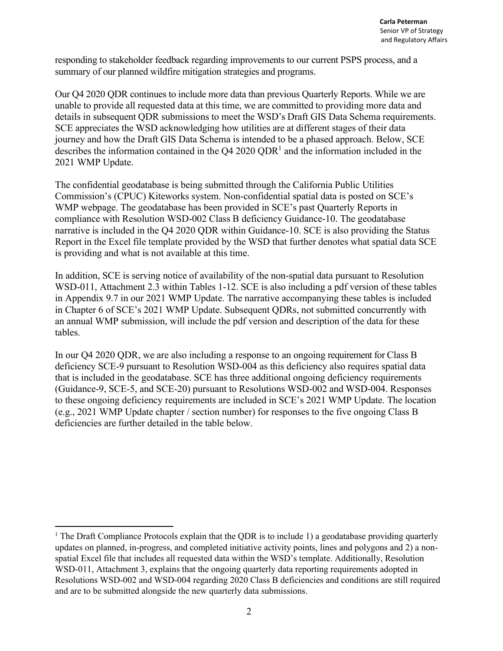responding to stakeholder feedback regarding improvements to our current PSPS process, and a summary of our planned wildfire mitigation strategies and programs.

Our Q4 2020 QDR continues to include more data than previous Quarterly Reports. While we are unable to provide all requested data at this time, we are committed to providing more data and details in subsequent QDR submissions to meet the WSD's Draft GIS Data Schema requirements. SCE appreciates the WSD acknowledging how utilities are at different stages of their data journey and how the Draft GIS Data Schema is intended to be a phased approach. Below, SCE describes the information contained in the  $Q4 2020 QDR<sup>1</sup>$  and the information included in the 2021 WMP Update.

The confidential geodatabase is being submitted through the California Public Utilities Commission's (CPUC) Kiteworks system. Non-confidential spatial data is posted on SCE's WMP webpage. The geodatabase has been provided in SCE's past Quarterly Reports in compliance with Resolution WSD-002 Class B deficiency Guidance-10. The geodatabase narrative is included in the Q4 2020 QDR within Guidance-10. SCE is also providing the Status Report in the Excel file template provided by the WSD that further denotes what spatial data SCE is providing and what is not available at this time.

In addition, SCE is serving notice of availability of the non-spatial data pursuant to Resolution WSD-011, Attachment 2.3 within Tables 1-12. SCE is also including a pdf version of these tables in Appendix 9.7 in our 2021 WMP Update. The narrative accompanying these tables is included in Chapter 6 of SCE's 2021 WMP Update. Subsequent QDRs, not submitted concurrently with an annual WMP submission, will include the pdf version and description of the data for these tables.

In our Q4 2020 QDR, we are also including a response to an ongoing requirement for Class B deficiency SCE-9 pursuant to Resolution WSD-004 as this deficiency also requires spatial data that is included in the geodatabase. SCE has three additional ongoing deficiency requirements (Guidance-9, SCE-5, and SCE-20) pursuant to Resolutions WSD-002 and WSD-004. Responses to these ongoing deficiency requirements are included in SCE's 2021 WMP Update. The location (e.g., 2021 WMP Update chapter / section number) for responses to the five ongoing Class B deficiencies are further detailed in the table below.

<sup>&</sup>lt;sup>1</sup> The Draft Compliance Protocols explain that the QDR is to include 1) a geodatabase providing quarterly updates on planned, in-progress, and completed initiative activity points, lines and polygons and 2) a nonspatial Excel file that includes all requested data within the WSD's template. Additionally, Resolution WSD-011, Attachment 3, explains that the ongoing quarterly data reporting requirements adopted in Resolutions WSD-002 and WSD-004 regarding 2020 Class B deficiencies and conditions are still required and are to be submitted alongside the new quarterly data submissions.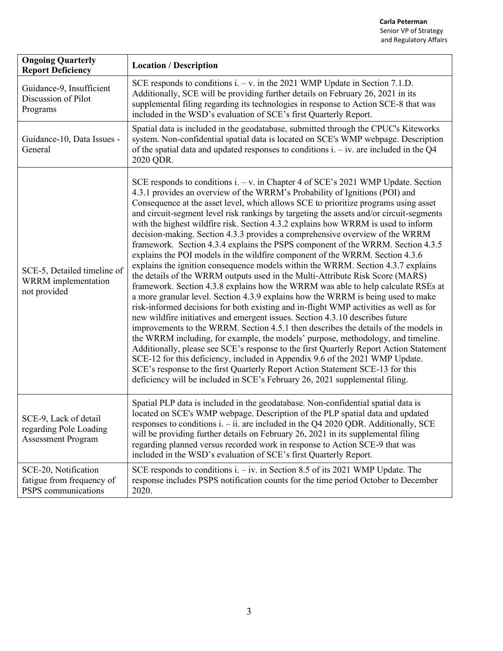| <b>Ongoing Quarterly</b><br><b>Report Deficiency</b>                         | <b>Location / Description</b>                                                                                                                                                                                                                                                                                                                                                                                                                                                                                                                                                                                                                                                                                                                                                                                                                                                                                                                                                                                                                                                                                                                                                                                                                                                                                                                                                                                                                                                                                                                                                                                                                                                                                                             |
|------------------------------------------------------------------------------|-------------------------------------------------------------------------------------------------------------------------------------------------------------------------------------------------------------------------------------------------------------------------------------------------------------------------------------------------------------------------------------------------------------------------------------------------------------------------------------------------------------------------------------------------------------------------------------------------------------------------------------------------------------------------------------------------------------------------------------------------------------------------------------------------------------------------------------------------------------------------------------------------------------------------------------------------------------------------------------------------------------------------------------------------------------------------------------------------------------------------------------------------------------------------------------------------------------------------------------------------------------------------------------------------------------------------------------------------------------------------------------------------------------------------------------------------------------------------------------------------------------------------------------------------------------------------------------------------------------------------------------------------------------------------------------------------------------------------------------------|
| Guidance-9, Insufficient<br>Discussion of Pilot<br>Programs                  | SCE responds to conditions $i. -v.$ in the 2021 WMP Update in Section 7.1.D.<br>Additionally, SCE will be providing further details on February 26, 2021 in its<br>supplemental filing regarding its technologies in response to Action SCE-8 that was<br>included in the WSD's evaluation of SCE's first Quarterly Report.                                                                                                                                                                                                                                                                                                                                                                                                                                                                                                                                                                                                                                                                                                                                                                                                                                                                                                                                                                                                                                                                                                                                                                                                                                                                                                                                                                                                               |
| Guidance-10, Data Issues -<br>General                                        | Spatial data is included in the geodatabase, submitted through the CPUC's Kiteworks<br>system. Non-confidential spatial data is located on SCE's WMP webpage. Description<br>of the spatial data and updated responses to conditions $i - iv$ are included in the Q4<br>2020 QDR.                                                                                                                                                                                                                                                                                                                                                                                                                                                                                                                                                                                                                                                                                                                                                                                                                                                                                                                                                                                                                                                                                                                                                                                                                                                                                                                                                                                                                                                         |
| SCE-5, Detailed timeline of<br>WRRM implementation<br>not provided           | SCE responds to conditions i. $-v$ . in Chapter 4 of SCE's 2021 WMP Update. Section<br>4.3.1 provides an overview of the WRRM's Probability of Ignitions (POI) and<br>Consequence at the asset level, which allows SCE to prioritize programs using asset<br>and circuit-segment level risk rankings by targeting the assets and/or circuit-segments<br>with the highest wildfire risk. Section 4.3.2 explains how WRRM is used to inform<br>decision-making. Section 4.3.3 provides a comprehensive overview of the WRRM<br>framework. Section 4.3.4 explains the PSPS component of the WRRM. Section 4.3.5<br>explains the POI models in the wildfire component of the WRRM. Section 4.3.6<br>explains the ignition consequence models within the WRRM. Section 4.3.7 explains<br>the details of the WRRM outputs used in the Multi-Attribute Risk Score (MARS)<br>framework. Section 4.3.8 explains how the WRRM was able to help calculate RSEs at<br>a more granular level. Section 4.3.9 explains how the WRRM is being used to make<br>risk-informed decisions for both existing and in-flight WMP activities as well as for<br>new wildfire initiatives and emergent issues. Section 4.3.10 describes future<br>improvements to the WRRM. Section 4.5.1 then describes the details of the models in<br>the WRRM including, for example, the models' purpose, methodology, and timeline.<br>Additionally, please see SCE's response to the first Quarterly Report Action Statement<br>SCE-12 for this deficiency, included in Appendix 9.6 of the 2021 WMP Update.<br>SCE's response to the first Quarterly Report Action Statement SCE-13 for this<br>deficiency will be included in SCE's February 26, 2021 supplemental filing. |
| SCE-9, Lack of detail<br>regarding Pole Loading<br><b>Assessment Program</b> | Spatial PLP data is included in the geodatabase. Non-confidential spatial data is<br>located on SCE's WMP webpage. Description of the PLP spatial data and updated<br>responses to conditions i. $-$ ii. are included in the Q4 2020 QDR. Additionally, SCE<br>will be providing further details on February 26, 2021 in its supplemental filing<br>regarding planned versus recorded work in response to Action SCE-9 that was<br>included in the WSD's evaluation of SCE's first Quarterly Report.                                                                                                                                                                                                                                                                                                                                                                                                                                                                                                                                                                                                                                                                                                                                                                                                                                                                                                                                                                                                                                                                                                                                                                                                                                      |
| SCE-20, Notification<br>fatigue from frequency of<br>PSPS communications     | SCE responds to conditions $i. - iv.$ in Section 8.5 of its 2021 WMP Update. The<br>response includes PSPS notification counts for the time period October to December<br>2020.                                                                                                                                                                                                                                                                                                                                                                                                                                                                                                                                                                                                                                                                                                                                                                                                                                                                                                                                                                                                                                                                                                                                                                                                                                                                                                                                                                                                                                                                                                                                                           |